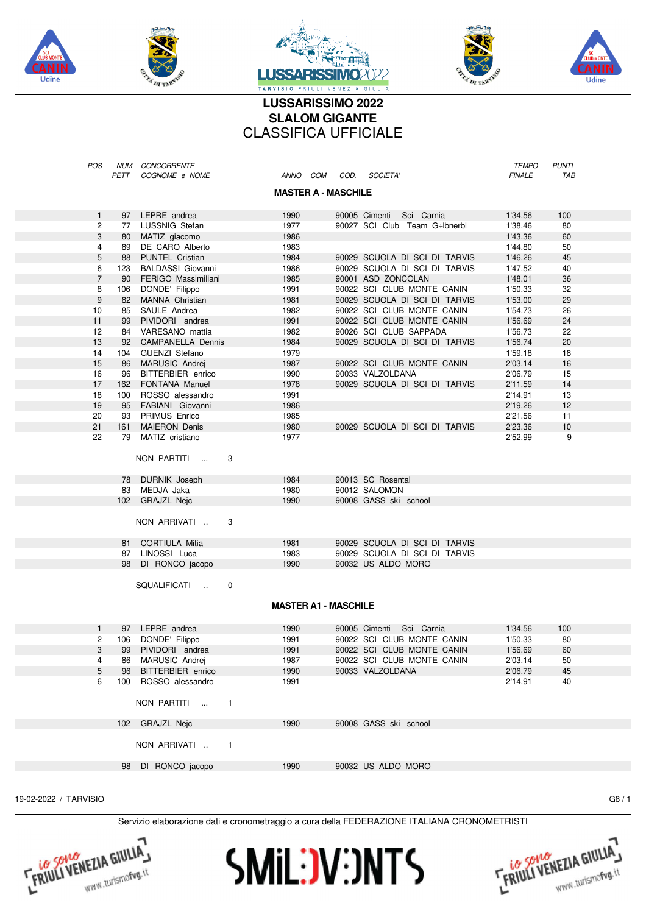

Udine







## LUSSARISSIMO 2022 **SLALOM GIGANTE CLASSIFICA UFFICIALE**

| <b>POS</b>     | PETT | NUM CONCORRENTE<br>COGNOME e NOME |                | ANNO COM COD. SOCIETA'      |                               | <b>TEMPO</b><br><b>FINALE</b> | <b>PUNTI</b><br>TAB |  |
|----------------|------|-----------------------------------|----------------|-----------------------------|-------------------------------|-------------------------------|---------------------|--|
|                |      |                                   |                | <b>MASTER A - MASCHILE</b>  |                               |                               |                     |  |
| 1              |      | 97 LEPRE andrea                   | 1990           |                             | 90005 Cimenti Sci Carnia      | 1'34.56                       | 100                 |  |
| 2              |      | 77 LUSSNIG Stefan                 | 1977           |                             | 90027 SCI Club Team G÷lbnerbl | 1'38.46                       | 80                  |  |
| 3              | 80   | MATIZ giacomo                     | 1986           |                             |                               | 1'43.36                       | 60                  |  |
| 4              | 89   | DE CARO Alberto                   | 1983           |                             |                               | 1'44.80                       | 50                  |  |
| 5              | 88   | PUNTEL Cristian                   | 1984           |                             | 90029 SCUOLA DI SCI DI TARVIS | 1'46.26                       | 45                  |  |
| 6              | 123  | <b>BALDASSI Giovanni</b>          | 1986           |                             | 90029 SCUOLA DI SCI DI TARVIS | 1'47.52                       | 40                  |  |
| $\overline{7}$ | 90   | FERIGO Massimiliani               | 1985           |                             | 90001 ASD ZONCOLAN            | 1'48.01                       | 36                  |  |
| 8              | 106  | DONDE' Filippo                    | 1991           |                             | 90022 SCI CLUB MONTE CANIN    | 1'50.33                       | 32                  |  |
| 9              | 82   | MANNA Christian                   | 1981           |                             | 90029 SCUOLA DI SCI DI TARVIS | 1'53.00                       | 29                  |  |
| 10             | 85   | SAULE Andrea                      | 1982           |                             | 90022 SCI CLUB MONTE CANIN    | 1'54.73                       | 26                  |  |
| 11             | 99   | PIVIDORI andrea                   | 1991           |                             | 90022 SCI CLUB MONTE CANIN    | 1'56.69                       | 24                  |  |
| 12             |      | 84 VARESANO mattia                | 1982           |                             | 90026 SCI CLUB SAPPADA        | 1'56.73                       | 22                  |  |
| 13             | 92   | <b>CAMPANELLA Dennis</b>          | 1984           |                             | 90029 SCUOLA DI SCI DI TARVIS | 1'56.74                       | 20                  |  |
| 14             | 104  | GUENZI Stefano                    | 1979           |                             |                               | 1'59.18                       | 18                  |  |
| 15             | 86   | MARUSIC Andrej                    | 1987           |                             | 90022 SCI CLUB MONTE CANIN    | 2'03.14                       | 16                  |  |
| 16             | 96   | BITTERBIER enrico                 | 1990           |                             | 90033 VALZOLDANA              | 2'06.79                       | 15                  |  |
| 17             |      | 162 FONTANA Manuel                | 1978           |                             | 90029 SCUOLA DI SCI DI TARVIS | 2'11.59                       | 14                  |  |
| 18             | 100  | ROSSO alessandro                  | 1991           |                             |                               | 2'14.91                       | 13                  |  |
| 19             | 95   | FABIANI Giovanni                  | 1986           |                             |                               | 2'19.26                       | 12                  |  |
| 20             | 93   | <b>PRIMUS Enrico</b>              | 1985           |                             |                               | 2'21.56                       | 11                  |  |
| 21             | 161  | <b>MAIERON Denis</b>              | 1980           |                             | 90029 SCUOLA DI SCI DI TARVIS | 2'23.36                       | 10                  |  |
| 22             | 79   | MATIZ cristiano                   | 1977           |                             |                               | 2'52.99                       | 9                   |  |
|                |      |                                   |                |                             |                               |                               |                     |  |
|                |      | NON PARTITI                       | 3              |                             |                               |                               |                     |  |
|                |      | 78 DURNIK Joseph                  | 1984           |                             | 90013 SC Rosental             |                               |                     |  |
|                |      | 83 MEDJA Jaka                     | 1980           |                             | 90012 SALOMON                 |                               |                     |  |
|                |      | 102 GRAJZL Nejc                   | 1990           |                             | 90008 GASS ski school         |                               |                     |  |
|                |      | NON ARRIVATI.                     | 3              |                             |                               |                               |                     |  |
|                |      | 81 CORTIULA Mitia                 | 1981           |                             | 90029 SCUOLA DI SCI DI TARVIS |                               |                     |  |
|                |      | 87 LINOSSI Luca                   | 1983           |                             | 90029 SCUOLA DI SCI DI TARVIS |                               |                     |  |
|                |      | 98 DI RONCO jacopo                | 1990           |                             | 90032 US ALDO MORO            |                               |                     |  |
|                |      |                                   |                |                             |                               |                               |                     |  |
|                |      | SQUALIFICATI                      | 0              |                             |                               |                               |                     |  |
|                |      |                                   |                |                             |                               |                               |                     |  |
|                |      |                                   |                | <b>MASTER A1 - MASCHILE</b> |                               |                               |                     |  |
| $\mathbf{1}$   |      | 97 LEPRE andrea                   | 1990           |                             | 90005 Cimenti Sci Carnia      | 1'34.56                       | 100                 |  |
| 2              |      | 106 DONDE' Filippo                | 1991           |                             | 90022 SCI CLUB MONTE CANIN    | 1'50.33                       | 80                  |  |
| 3 <sup>1</sup> |      | 99 PIVIDORI andrea                | 1991           |                             | 90022 SCI CLUB MONTE CANIN    | 1'56.69                       | 60                  |  |
| 4              |      | 86 MARUSIC Andrei                 | 1987           |                             | 90022 SCI CLUB MONTE CANIN    | 2'03.14                       | 50                  |  |
| 5              |      | 96 BITTERBIER enrico              | 1990           |                             | 90033 VALZOLDANA              | 2'06.79                       | 45                  |  |
| 6              |      | 100 ROSSO alessandro              | 1991           |                             |                               | 2'14.91                       | 40                  |  |
|                |      |                                   |                |                             |                               |                               |                     |  |
|                |      | NON PARTITI  1                    |                |                             |                               |                               |                     |  |
|                |      | 102 GRAJZL Nejc                   | 1990           |                             | 90008 GASS ski school         |                               |                     |  |
|                |      | NON ARRIVATI                      | $\overline{1}$ |                             |                               |                               |                     |  |
|                |      | 98 DI RONCO jacopo                |                |                             | 90032 US ALDO MORO            |                               |                     |  |
|                |      |                                   | 1990           |                             |                               |                               |                     |  |
|                |      |                                   |                |                             |                               |                               |                     |  |

19-02-2022 / TARVISIO

 $G8/1$ 





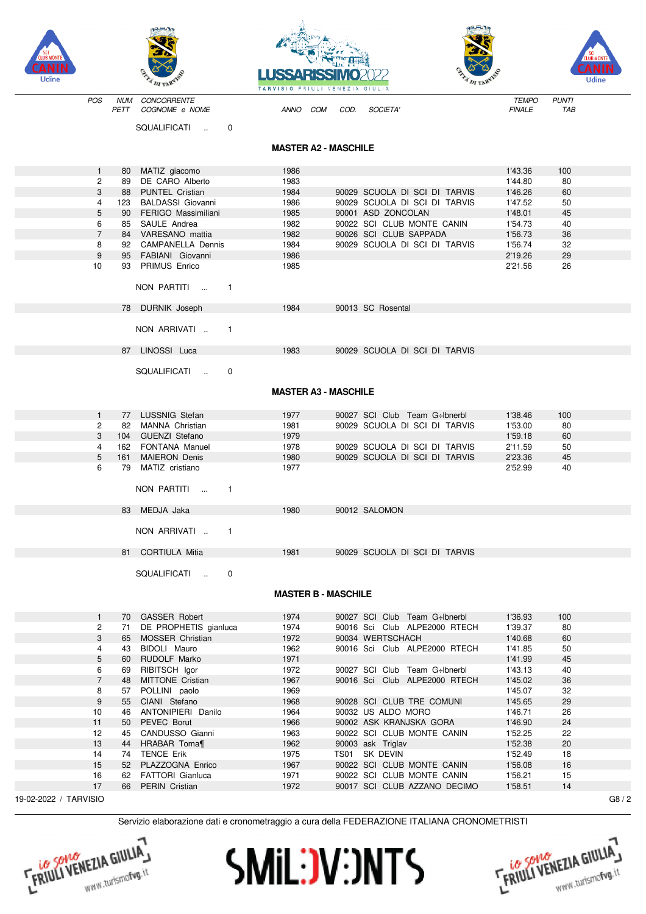









| <b>LLUB MUNIE 1</b>   |                |            |                                                                                             | LUSSARISSIN                 |      |                                                            |                    |              | <b><i>FLUB MONTE</i></b> |
|-----------------------|----------------|------------|---------------------------------------------------------------------------------------------|-----------------------------|------|------------------------------------------------------------|--------------------|--------------|--------------------------|
| Udine                 |                |            |                                                                                             | TARVISIO FRIULI VENEZIA     |      | GIULIA                                                     |                    |              | Udine                    |
|                       | POS            | <b>NUM</b> | CONCORRENTE                                                                                 |                             |      |                                                            | <b>TEMPO</b>       | <b>PUNTI</b> |                          |
|                       |                | PETT       | COGNOME e NOME                                                                              | ANNO COM                    | COD. | SOCIETA'                                                   | <b>FINALE</b>      | TAB          |                          |
|                       |                |            | SQUALIFICATI<br>$\mathbf 0$                                                                 |                             |      |                                                            |                    |              |                          |
|                       |                |            |                                                                                             | <b>MASTER A2 - MASCHILE</b> |      |                                                            |                    |              |                          |
|                       | 1              | 80         | MATIZ giacomo                                                                               | 1986                        |      |                                                            | 1'43.36            | 100          |                          |
|                       | 2              | 89         | DE CARO Alberto                                                                             | 1983                        |      |                                                            | 1'44.80            | 80           |                          |
|                       | 3              | 88         | PUNTEL Cristian                                                                             | 1984                        |      | 90029 SCUOLA DI SCI DI TARVIS                              | 1'46.26            | 60           |                          |
|                       | 4              | 123        | <b>BALDASSI Giovanni</b>                                                                    | 1986                        |      | 90029 SCUOLA DI SCI DI TARVIS                              | 1'47.52            | 50           |                          |
|                       | 5<br>6         | 90<br>85   | FERIGO Massimiliani<br>SAULE Andrea                                                         | 1985<br>1982                |      | 90001 ASD ZONCOLAN<br>90022 SCI CLUB MONTE CANIN           | 1'48.01<br>1'54.73 | 45<br>40     |                          |
|                       | $\overline{7}$ | 84         | VARESANO mattia                                                                             | 1982                        |      | 90026 SCI CLUB SAPPADA                                     | 1'56.73            | 36           |                          |
|                       | 8              |            | 92 CAMPANELLA Dennis                                                                        | 1984                        |      | 90029 SCUOLA DI SCI DI TARVIS                              | 1'56.74            | 32           |                          |
|                       | 9              | 95         | FABIANI Giovanni                                                                            | 1986                        |      |                                                            | 2'19.26            | 29           |                          |
|                       | 10             | 93         | <b>PRIMUS Enrico</b>                                                                        | 1985                        |      |                                                            | 2'21.56            | 26           |                          |
|                       |                |            | NON PARTITI<br>$\overline{1}$                                                               |                             |      |                                                            |                    |              |                          |
|                       |                |            |                                                                                             |                             |      |                                                            |                    |              |                          |
|                       |                |            | 78 DURNIK Joseph                                                                            | 1984                        |      | 90013 SC Rosental                                          |                    |              |                          |
|                       |                |            | NON ARRIVATI.<br>$\overline{1}$                                                             |                             |      |                                                            |                    |              |                          |
|                       |                |            | 87 LINOSSI Luca                                                                             | 1983                        |      | 90029 SCUOLA DI SCI DI TARVIS                              |                    |              |                          |
|                       |                |            | SQUALIFICATI<br>$\mathbf 0$                                                                 |                             |      |                                                            |                    |              |                          |
|                       |                |            |                                                                                             | <b>MASTER A3 - MASCHILE</b> |      |                                                            |                    |              |                          |
|                       |                |            |                                                                                             |                             |      |                                                            |                    |              |                          |
|                       | $\mathbf{1}$   | 77         | LUSSNIG Stefan                                                                              | 1977                        |      | 90027 SCI Club Team G÷lbnerbl                              | 1'38.46            | 100          |                          |
|                       | 2              | 82         | MANNA Christian                                                                             | 1981                        |      | 90029 SCUOLA DI SCI DI TARVIS                              | 1'53.00            | 80           |                          |
|                       | 3              | 104        | <b>GUENZI Stefano</b>                                                                       | 1979                        |      |                                                            | 1'59.18            | 60           |                          |
|                       | 4              | 162        | FONTANA Manuel                                                                              | 1978                        |      | 90029 SCUOLA DI SCI DI TARVIS                              | 2'11.59            | 50           |                          |
|                       | 5<br>6         | 161        | <b>MAIERON Denis</b><br>79 MATIZ cristiano                                                  | 1980<br>1977                |      | 90029 SCUOLA DI SCI DI TARVIS                              | 2'23.36<br>2'52.99 | 45<br>40     |                          |
|                       |                |            |                                                                                             |                             |      |                                                            |                    |              |                          |
|                       |                |            | NON PARTITI<br>$\mathbf{1}$                                                                 |                             |      |                                                            |                    |              |                          |
|                       |                |            | 83 MEDJA Jaka                                                                               | 1980                        |      | 90012 SALOMON                                              |                    |              |                          |
|                       |                |            | NON ARRIVATI<br>$\overline{1}$                                                              |                             |      |                                                            |                    |              |                          |
|                       |                |            | 81 CORTIULA Mitia                                                                           | 1981                        |      | 90029 SCUOLA DI SCI DI TARVIS                              |                    |              |                          |
|                       |                |            | SQUALIFICATI<br>0                                                                           |                             |      |                                                            |                    |              |                          |
|                       |                |            |                                                                                             | <b>MASTER B - MASCHILE</b>  |      |                                                            |                    |              |                          |
|                       |                |            |                                                                                             |                             |      |                                                            |                    |              |                          |
|                       | $\mathbf{1}$   | 70         | <b>GASSER Robert</b>                                                                        | 1974                        |      | 90027 SCI Club Team G÷lbnerbl                              | 1'36.93            | 100          |                          |
|                       | 2              | 71         | DE PROPHETIS gianluca                                                                       | 1974                        |      | 90016 Sci Club ALPE2000 RTECH                              | 1'39.37            | 80           |                          |
|                       | 3              | 65         | MOSSER Christian                                                                            | 1972                        |      | 90034 WERTSCHACH                                           | 1'40.68            | 60           |                          |
|                       | 4              | 43         | BIDOLI Mauro                                                                                | 1962                        |      | 90016 Sci Club ALPE2000 RTECH                              | 1'41.85            | 50           |                          |
|                       | 5<br>6         | 60<br>69   | RUDOLF Marko<br>RIBITSCH Igor                                                               | 1971<br>1972                |      | 90027 SCI Club Team G÷lbnerbl                              | 1'41.99<br>1'43.13 | 45<br>40     |                          |
|                       | $\overline{7}$ | 48         | MITTONE Cristian                                                                            | 1967                        |      | 90016 Sci Club ALPE2000 RTECH                              | 1'45.02            | 36           |                          |
|                       | 8              | 57         | POLLINI paolo                                                                               | 1969                        |      |                                                            | 1'45.07            | 32           |                          |
|                       | 9              | 55         | CIANI Stefano                                                                               | 1968                        |      | 90028 SCI CLUB TRE COMUNI                                  | 1'45.65            | 29           |                          |
|                       | 10             | 46         | ANTONIPIERI Danilo                                                                          | 1964                        |      | 90032 US ALDO MORO                                         | 1'46.71            | 26           |                          |
|                       | 11             | 50         | PEVEC Borut                                                                                 | 1966                        |      | 90002 ASK KRANJSKA GORA                                    | 1'46.90            | 24           |                          |
|                       | 12             |            | 45 CANDUSSO Gianni                                                                          | 1963                        |      | 90022 SCI CLUB MONTE CANIN                                 | 1'52.25            | 22           |                          |
|                       | 13             | 44         | HRABAR Toma¶                                                                                | 1962                        |      | 90003 ask Triglav                                          | 1'52.38            | 20           |                          |
|                       | 14             |            | 74 TENCE Erik                                                                               | 1975                        |      | TS01 SK DEVIN                                              | 1'52.49            | 18           |                          |
|                       | 15             |            | 52 PLAZZOGNA Enrico                                                                         | 1967                        |      | 90022 SCI CLUB MONTE CANIN                                 | 1'56.08            | 16           |                          |
|                       | 16<br>17       |            | 62 FATTORI Gianluca<br>66 PERIN Cristian                                                    | 1971<br>1972                |      | 90022 SCI CLUB MONTE CANIN<br>90017 SCI CLUB AZZANO DECIMO | 1'56.21<br>1'58.51 | 15<br>14     |                          |
| 19-02-2022 / TARVISIO |                |            |                                                                                             |                             |      |                                                            |                    |              | G8/2                     |
|                       |                |            |                                                                                             |                             |      |                                                            |                    |              |                          |
|                       |                |            | Servizio elaborazione dati e cronometraggio a cura della FEDERAZIONE ITALIANA CRONOMETRISTI |                             |      |                                                            |                    |              |                          |





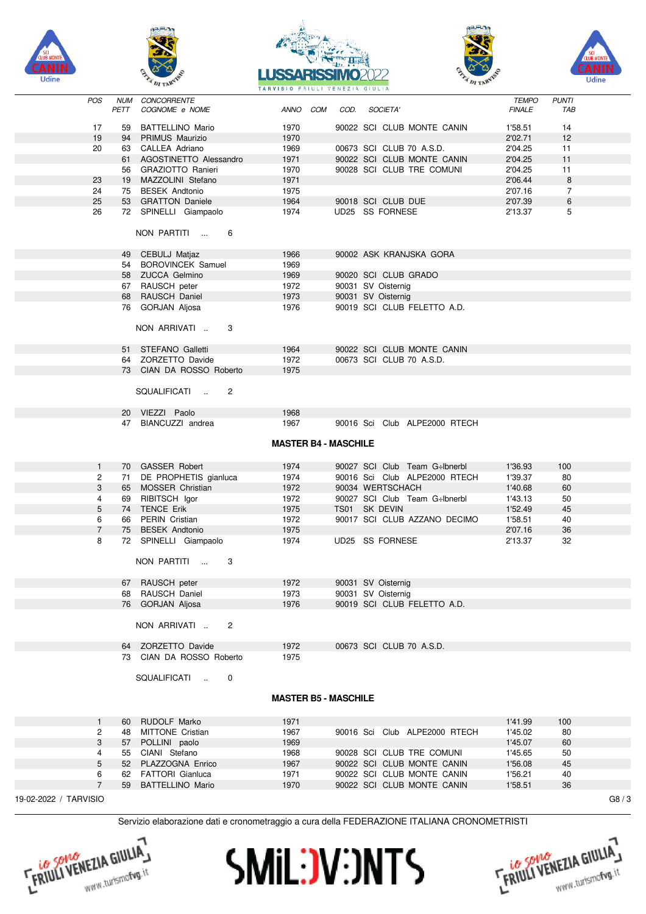









| <b>POS</b>            | NUM<br>PETT | CONCORRENTE<br>COGNOME e NOME  | ANNO COM | COD.                        | <i>SOCIETA'</i>               | <b>TEMPO</b><br><b>FINALE</b> | <b>PUNTI</b><br>TAB |      |
|-----------------------|-------------|--------------------------------|----------|-----------------------------|-------------------------------|-------------------------------|---------------------|------|
|                       |             |                                |          |                             |                               |                               |                     |      |
| 17                    | 59          | BATTELLINO Mario               | 1970     |                             | 90022 SCI CLUB MONTE CANIN    | 1'58.51                       | 14                  |      |
| 19                    |             | 94 PRIMUS Maurizio             | 1970     |                             |                               | 2'02.71                       | 12                  |      |
| 20                    |             | 63 CALLEA Adriano              | 1969     |                             | 00673 SCI CLUB 70 A.S.D.      | 2'04.25                       | 11                  |      |
|                       |             | 61 AGOSTINETTO Alessandro      | 1971     |                             | 90022 SCI CLUB MONTE CANIN    | 2'04.25                       | 11                  |      |
|                       |             | 56 GRAZIOTTO Ranieri           | 1970     |                             | 90028 SCI CLUB TRE COMUNI     | 2'04.25                       | 11                  |      |
| 23                    |             | 19 MAZZOLINI Stefano           | 1971     |                             |                               | 2'06.44                       | $\,8\,$             |      |
| 24                    |             | 75 BESEK Andtonio              | 1975     |                             |                               | 2'07.16                       | $\overline{7}$      |      |
| 25                    |             | 53 GRATTON Daniele             | 1964     |                             | 90018 SCI CLUB DUE            | 2'07.39                       | 6                   |      |
| 26                    |             | 72 SPINELLI Giampaolo          | 1974     | UD25 SS FORNESE             |                               | 2'13.37                       | 5                   |      |
|                       |             |                                |          |                             |                               |                               |                     |      |
|                       |             | NON PARTITI<br>6               |          |                             |                               |                               |                     |      |
|                       |             | 49 CEBULJ Matjaz               | 1966     |                             | 90002 ASK KRANJSKA GORA       |                               |                     |      |
|                       |             | 54 BOROVINCEK Samuel           | 1969     |                             |                               |                               |                     |      |
|                       |             | 58 ZUCCA Gelmino               | 1969     |                             | 90020 SCI CLUB GRADO          |                               |                     |      |
|                       |             | 67 RAUSCH peter                | 1972     | 90031 SV Oisternig          |                               |                               |                     |      |
|                       |             | 68 RAUSCH Daniel               | 1973     | 90031 SV Oisternig          |                               |                               |                     |      |
|                       |             | 76 GORJAN Aljosa               | 1976     |                             | 90019 SCI CLUB FELETTO A.D.   |                               |                     |      |
|                       |             | NON ARRIVATI<br>3              |          |                             |                               |                               |                     |      |
|                       |             | 51 STEFANO Galletti            | 1964     |                             | 90022 SCI CLUB MONTE CANIN    |                               |                     |      |
|                       |             | 64 ZORZETTO Davide             | 1972     |                             | 00673 SCI CLUB 70 A.S.D.      |                               |                     |      |
|                       |             | 73 CIAN DA ROSSO Roberto       | 1975     |                             |                               |                               |                     |      |
|                       |             |                                |          |                             |                               |                               |                     |      |
|                       |             | SQUALIFICATI<br>$\overline{c}$ |          |                             |                               |                               |                     |      |
|                       |             | 20 VIEZZI Paolo                | 1968     |                             |                               |                               |                     |      |
|                       |             | 47 BIANCUZZI andrea            | 1967     |                             | 90016 Sci Club ALPE2000 RTECH |                               |                     |      |
|                       |             |                                |          |                             |                               |                               |                     |      |
|                       |             |                                |          | <b>MASTER B4 - MASCHILE</b> |                               |                               |                     |      |
|                       |             |                                |          |                             |                               |                               |                     |      |
| 1                     |             | 70 GASSER Robert               | 1974     |                             | 90027 SCI Club Team G÷lbnerbl | 1'36.93                       | 100                 |      |
| 2                     |             | 71 DE PROPHETIS gianluca       | 1974     |                             | 90016 Sci Club ALPE2000 RTECH | 1'39.37                       | 80                  |      |
| 3                     |             | 65 MOSSER Christian            | 1972     | 90034 WERTSCHACH            |                               | 1'40.68                       | 60                  |      |
| 4                     |             | 69 RIBITSCH Igor               | 1972     |                             | 90027 SCI Club Team G÷lbnerbl | 1'43.13                       | 50                  |      |
| 5                     |             | 74 TENCE Erik                  | 1975     | TS01 SK DEVIN               |                               | 1'52.49                       | 45                  |      |
| 6                     |             | 66 PERIN Cristian              | 1972     |                             | 90017 SCI CLUB AZZANO DECIMO  | 1'58.51                       | 40                  |      |
| $\overline{7}$        |             | 75 BESEK Andtonio              | 1975     |                             |                               | 2'07.16                       | 36                  |      |
| 8                     |             |                                |          |                             |                               |                               |                     |      |
|                       |             | 72 SPINELLI Giampaolo          | 1974     | UD25 SS FORNESE             |                               | 2'13.37                       | 32                  |      |
|                       |             | NON PARTITI<br>3               |          |                             |                               |                               |                     |      |
|                       |             | 67 RAUSCH peter                | 1972     | 90031 SV Oisternig          |                               |                               |                     |      |
|                       |             | 68 RAUSCH Daniel               | 1973     | 90031 SV Oisternig          |                               |                               |                     |      |
|                       |             | 76 GORJAN Aljosa               | 1976     |                             | 90019 SCI CLUB FELETTO A.D.   |                               |                     |      |
|                       |             | NON ARRIVATI<br>2              |          |                             |                               |                               |                     |      |
|                       |             | 64 ZORZETTO Davide             | 1972     |                             | 00673 SCI CLUB 70 A.S.D.      |                               |                     |      |
|                       |             | 73 CIAN DA ROSSO Roberto       | 1975     |                             |                               |                               |                     |      |
|                       |             |                                |          |                             |                               |                               |                     |      |
|                       |             |                                |          |                             |                               |                               |                     |      |
|                       |             | SQUALIFICATI<br>0<br>$\sim$ 14 |          |                             |                               |                               |                     |      |
|                       |             |                                |          | <b>MASTER B5 - MASCHILE</b> |                               |                               |                     |      |
| 1                     | 60          | <b>RUDOLF Marko</b>            | 1971     |                             |                               | 1'41.99                       | 100                 |      |
| 2                     | 48          | MITTONE Cristian               | 1967     |                             | 90016 Sci Club ALPE2000 RTECH | 1'45.02                       | 80                  |      |
|                       |             |                                |          |                             |                               |                               | 60                  |      |
| 3                     |             | 57 POLLINI paolo               | 1969     |                             |                               | 1'45.07                       |                     |      |
| 4                     |             | 55 CIANI Stefano               | 1968     |                             | 90028 SCI CLUB TRE COMUNI     | 1'45.65                       | 50                  |      |
| 5                     |             | 52 PLAZZOGNA Enrico            | 1967     |                             | 90022 SCI CLUB MONTE CANIN    | 1'56.08                       | 45                  |      |
| 6                     | 62          | FATTORI Gianluca               | 1971     |                             | 90022 SCI CLUB MONTE CANIN    | 1'56.21                       | 40                  |      |
| $\overline{7}$        | 59          | <b>BATTELLINO Mario</b>        | 1970     |                             | 90022 SCI CLUB MONTE CANIN    | 1'58.51                       | 36                  |      |
| 19-02-2022 / TARVISIO |             |                                |          |                             |                               |                               |                     | G8/3 |





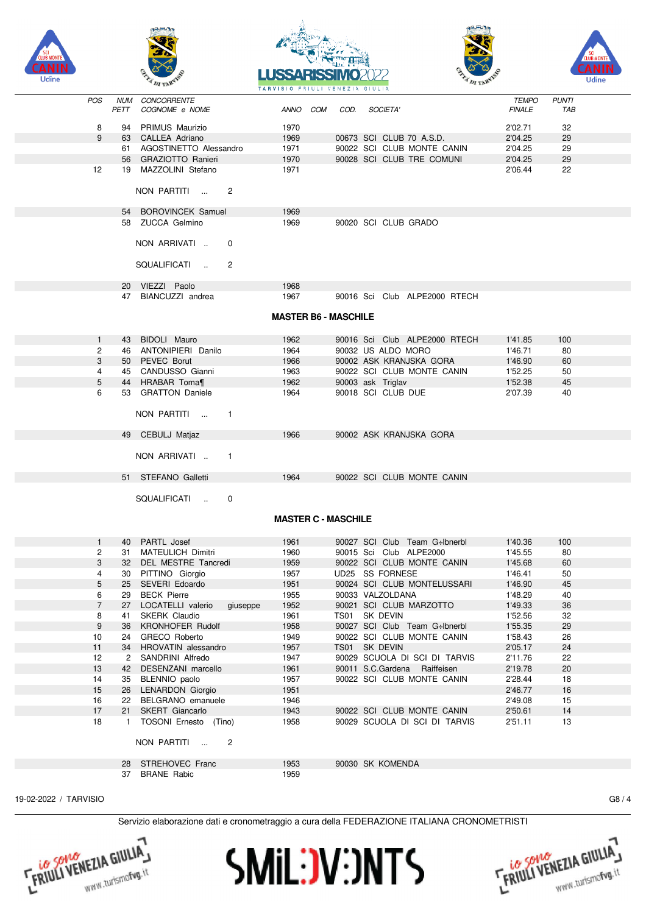









| <b>POS</b>     | <b>NUM</b>   | CONCORRENTE                             |                             |                   |                               | <b>TEMPO</b>  | <b>PUNTI</b> |  |
|----------------|--------------|-----------------------------------------|-----------------------------|-------------------|-------------------------------|---------------|--------------|--|
|                | PETT         | COGNOME e NOME                          | ANNO COM                    | COD.              | <b>SOCIETA'</b>               | <b>FINALE</b> | TAB          |  |
| 8              | 94           | PRIMUS Maurizio                         | 1970                        |                   |                               | 2'02.71       | 32           |  |
| 9              |              | 63 CALLEA Adriano                       | 1969                        |                   | 00673 SCI CLUB 70 A.S.D.      | 2'04.25       | 29           |  |
|                |              | 61 AGOSTINETTO Alessandro               | 1971                        |                   | 90022 SCI CLUB MONTE CANIN    | 2'04.25       | 29           |  |
|                | 56           | <b>GRAZIOTTO Ranieri</b>                | 1970                        |                   | 90028 SCI CLUB TRE COMUNI     | 2'04.25       | 29           |  |
| 12             |              | 19 MAZZOLINI Stefano                    | 1971                        |                   |                               | 2'06.44       | 22           |  |
|                |              |                                         |                             |                   |                               |               |              |  |
|                |              | NON PARTITI<br>$\overline{2}$           |                             |                   |                               |               |              |  |
|                |              |                                         |                             |                   |                               |               |              |  |
|                |              | 54 BOROVINCEK Samuel                    | 1969                        |                   |                               |               |              |  |
|                |              | 58 ZUCCA Gelmino                        | 1969                        |                   | 90020 SCI CLUB GRADO          |               |              |  |
|                |              |                                         |                             |                   |                               |               |              |  |
|                |              | NON ARRIVATI<br>0                       |                             |                   |                               |               |              |  |
|                |              |                                         |                             |                   |                               |               |              |  |
|                |              | SQUALIFICATI<br>$\overline{2}$          |                             |                   |                               |               |              |  |
|                |              |                                         |                             |                   |                               |               |              |  |
|                |              | 20 VIEZZI Paolo                         | 1968                        |                   |                               |               |              |  |
|                | 47           | BIANCUZZI andrea                        | 1967                        |                   | 90016 Sci Club ALPE2000 RTECH |               |              |  |
|                |              |                                         |                             |                   |                               |               |              |  |
|                |              |                                         | <b>MASTER B6 - MASCHILE</b> |                   |                               |               |              |  |
|                |              |                                         |                             |                   |                               |               |              |  |
| $\mathbf{1}$   | 43           | BIDOLI Mauro                            | 1962                        |                   | 90016 Sci Club ALPE2000 RTECH | 1'41.85       | 100          |  |
| 2              |              | 46 ANTONIPIERI Danilo                   | 1964                        |                   | 90032 US ALDO MORO            | 1'46.71       | 80           |  |
| 3              | 50           | PEVEC Borut                             | 1966                        |                   | 90002 ASK KRANJSKA GORA       | 1'46.90       | 60           |  |
| 4              |              | 45 CANDUSSO Gianni                      | 1963                        |                   | 90022 SCI CLUB MONTE CANIN    | 1'52.25       | 50           |  |
| 5              | 44           | HRABAR Toma¶                            | 1962                        | 90003 ask Triglav |                               | 1'52.38       | 45           |  |
| 6              | 53           | <b>GRATTON Daniele</b>                  | 1964                        |                   | 90018 SCI CLUB DUE            | 2'07.39       | 40           |  |
|                |              |                                         |                             |                   |                               |               |              |  |
|                |              | NON PARTITI<br>$\mathbf{1}$             |                             |                   |                               |               |              |  |
|                |              |                                         |                             |                   | 90002 ASK KRANJSKA GORA       |               |              |  |
|                |              | 49 CEBULJ Matjaz                        | 1966                        |                   |                               |               |              |  |
|                |              | NON ARRIVATI<br>$\mathbf{1}$            |                             |                   |                               |               |              |  |
|                |              |                                         |                             |                   |                               |               |              |  |
|                |              | 51 STEFANO Galletti                     | 1964                        |                   | 90022 SCI CLUB MONTE CANIN    |               |              |  |
|                |              |                                         |                             |                   |                               |               |              |  |
|                |              | SQUALIFICATI<br>$\mathbf 0$             |                             |                   |                               |               |              |  |
|                |              |                                         |                             |                   |                               |               |              |  |
|                |              |                                         | <b>MASTER C - MASCHILE</b>  |                   |                               |               |              |  |
|                |              |                                         |                             |                   |                               |               |              |  |
| $\mathbf{1}$   |              | 40 PARTL Josef                          | 1961                        |                   | 90027 SCI Club Team G÷lbnerbl | 1'40.36       | 100          |  |
| 2              | 31           | <b>MATEULICH Dimitri</b>                | 1960                        |                   | 90015 Sci Club ALPE2000       | 1'45.55       | 80           |  |
| 3              | 32           | DEL MESTRE Tancredi                     | 1959                        |                   | 90022 SCI CLUB MONTE CANIN    | 1'45.68       | 60           |  |
| 4              |              | 30 PITTINO Giorgio                      | 1957                        |                   | UD25 SS FORNESE               | 1'46.41       | 50           |  |
| 5              | 25           | SEVERI Edoardo                          | 1951                        |                   | 90024 SCI CLUB MONTELUSSARI   | 1'46.90       | 45           |  |
| 6              | 29           | <b>BECK Pierre</b>                      | 1955                        |                   | 90033 VALZOLDANA              | 1'48.29       | 40           |  |
| $\overline{7}$ | 27           | LOCATELLI valerio<br>giuseppe           | 1952                        |                   | 90021 SCI CLUB MARZOTTO       | 1'49.33       | 36           |  |
| 8              | 41           | SKERK Claudio                           | 1961                        | TS01 SK DEVIN     |                               | 1'52.56       | 32           |  |
| 9              | 36           | KRONHOFER Rudolf                        | 1958                        |                   | 90027 SCI Club Team G÷lbnerbl | 1'55.35       | 29           |  |
| 10             | 24           | GRECO Roberto                           | 1949                        |                   | 90022 SCI CLUB MONTE CANIN    | 1'58.43       | 26           |  |
| 11             | 34           | HROVATIN alessandro                     | 1957                        | TS01 SK DEVIN     |                               | 2'05.17       | 24           |  |
| 12             | 2            | SANDRINI Alfredo                        | 1947                        |                   | 90029 SCUOLA DI SCI DI TARVIS | 2'11.76       | 22           |  |
| 13             | 42           | DESENZANI marcello                      | 1961                        |                   | 90011 S.C.Gardena Raiffeisen  | 2'19.78       | 20           |  |
| 14             | 35           | BLENNIO paolo                           | 1957                        |                   | 90022 SCI CLUB MONTE CANIN    | 2'28.44       | 18           |  |
| 15             | 26           | <b>LENARDON Giorgio</b>                 | 1951                        |                   |                               | 2'46.77       | 16           |  |
| 16             | 22           | BELGRANO emanuele                       | 1946                        |                   |                               | 2'49.08       | 15           |  |
| 17             | 21           | SKERT Giancarlo                         | 1943                        |                   | 90022 SCI CLUB MONTE CANIN    | 2'50.61       | 14           |  |
| 18             | $\mathbf{1}$ | TOSONI Ernesto (Tino)                   | 1958                        |                   | 90029 SCUOLA DI SCI DI TARVIS | 2'51.11       | 13           |  |
|                |              |                                         |                             |                   |                               |               |              |  |
|                |              | NON PARTITI<br>$\overline{c}$<br>$\sim$ |                             |                   |                               |               |              |  |
|                |              |                                         |                             |                   |                               |               |              |  |
|                |              | 28 STREHOVEC Franc                      | 1953                        |                   | 90030 SK KOMENDA              |               |              |  |
|                | 37           | <b>BRANE Rabic</b>                      | 1959                        |                   |                               |               |              |  |

19-02-2022 / TARVISIO G8 / 4

**FRIULI VENEZIA GIULIA I** 



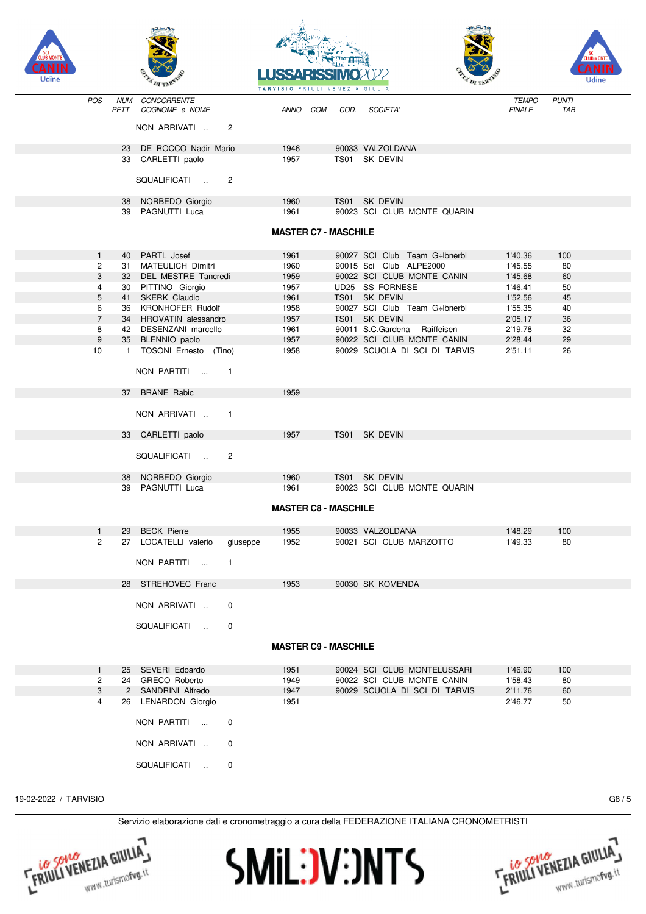









|                |                    | $-1.7$                                                   |                  | TARVISIO FRIULI VENEZIA GIULIA |                               | <b>THE ALBERT</b>             |                     |  |
|----------------|--------------------|----------------------------------------------------------|------------------|--------------------------------|-------------------------------|-------------------------------|---------------------|--|
| POS            | <b>NUM</b><br>PETT | CONCORRENTE<br>COGNOME e NOME                            | ANNO COM         | COD.                           | SOCIETA'                      | <b>TEMPO</b><br><b>FINALE</b> | <b>PUNTI</b><br>TAB |  |
|                |                    | NON ARRIVATI<br>2                                        |                  |                                |                               |                               |                     |  |
|                |                    | 23 DE ROCCO Nadir Mario                                  | 1946             |                                | 90033 VALZOLDANA              |                               |                     |  |
|                |                    | 33 CARLETTI paolo                                        | 1957             |                                | TS01 SK DEVIN                 |                               |                     |  |
|                |                    | SQUALIFICATI<br>2                                        |                  |                                |                               |                               |                     |  |
|                |                    | 38 NORBEDO Giorgio                                       | 1960             |                                | TS01 SK DEVIN                 |                               |                     |  |
|                |                    | 39 PAGNUTTI Luca                                         | 1961             |                                | 90023 SCI CLUB MONTE QUARIN   |                               |                     |  |
|                |                    |                                                          |                  | <b>MASTER C7 - MASCHILE</b>    |                               |                               |                     |  |
| $\mathbf{1}$   | 40                 | PARTL Josef                                              | 1961             |                                | 90027 SCI Club Team G-Ibnerbl | 1'40.36                       | 100                 |  |
| $\overline{c}$ | 31                 | <b>MATEULICH Dimitri</b>                                 | 1960             |                                | 90015 Sci Club ALPE2000       | 1'45.55                       | 80                  |  |
| 3              | 32                 | DEL MESTRE Tancredi                                      | 1959             |                                | 90022 SCI CLUB MONTE CANIN    | 1'45.68                       | 60                  |  |
| 4              | 30                 | PITTINO Giorgio                                          | 1957             |                                | UD25 SS FORNESE               | 1'46.41                       | 50                  |  |
| 5              | 41                 | SKERK Claudio                                            | 1961             |                                | TS01 SK DEVIN                 | 1'52.56                       | 45                  |  |
| 6              | 36                 | <b>KRONHOFER Rudolf</b>                                  | 1958             |                                | 90027 SCI Club Team G÷lbnerbl | 1'55.35                       | 40                  |  |
| $\overline{7}$ |                    | 34 HROVATIN alessandro                                   | 1957             |                                | TS01 SK DEVIN                 | 2'05.17                       | 36                  |  |
| 8              |                    | 42 DESENZANI marcello                                    | 1961             |                                | 90011 S.C.Gardena Raiffeisen  | 2'19.78                       | 32                  |  |
| 9              |                    | 35 BLENNIO paolo                                         | 1957             |                                | 90022 SCI CLUB MONTE CANIN    | 2'28.44                       | 29                  |  |
| 10             |                    | 1 TOSONI Ernesto (Tino)<br>NON PARTITI<br>$\overline{1}$ | 1958             |                                | 90029 SCUOLA DI SCI DI TARVIS | 2'51.11                       | 26                  |  |
|                |                    | 37 BRANE Rabic                                           | 1959             |                                |                               |                               |                     |  |
|                |                    | NON ARRIVATI<br>$\overline{\phantom{0}}$ 1               |                  |                                |                               |                               |                     |  |
|                |                    | 33 CARLETTI paolo                                        | 1957             |                                | TS01 SK DEVIN                 |                               |                     |  |
|                |                    | $\overline{c}$<br>SQUALIFICATI                           |                  |                                |                               |                               |                     |  |
|                |                    | 38 NORBEDO Giorgio                                       | 1960             | TS01                           | SK DEVIN                      |                               |                     |  |
|                | 39                 | PAGNUTTI Luca                                            | 1961             | <b>MASTER C8 - MASCHILE</b>    | 90023 SCI CLUB MONTE QUARIN   |                               |                     |  |
|                |                    |                                                          |                  |                                |                               |                               |                     |  |
| $\mathbf{1}$   | 29                 | <b>BECK Pierre</b>                                       | 1955             |                                | 90033 VALZOLDANA              | 1'48.29                       | 100                 |  |
| $\mathbf{2}$   |                    | 27 LOCATELLI valerio<br>NON PARTITI<br>1<br>$\mathbf{r}$ | 1952<br>giuseppe |                                | 90021 SCI CLUB MARZOTTO       | 1'49.33                       | 80                  |  |
|                |                    | 28 STREHOVEC Franc                                       | 1953             |                                | 90030 SK KOMENDA              |                               |                     |  |
|                |                    | NON ARRIVATI<br>0                                        |                  |                                |                               |                               |                     |  |
|                |                    | SQUALIFICATI<br>0                                        |                  |                                |                               |                               |                     |  |
|                |                    |                                                          |                  | <b>MASTER C9 - MASCHILE</b>    |                               |                               |                     |  |
| $\mathbf{1}$   | 25                 | SEVERI Edoardo                                           | 1951             |                                | 90024 SCI CLUB MONTELUSSARI   | 1'46.90                       | 100                 |  |
| 2              |                    | 24 GRECO Roberto                                         | 1949             |                                | 90022 SCI CLUB MONTE CANIN    | 1'58.43                       | 80                  |  |
| 3              | $\mathbf{2}$       | SANDRINI Alfredo                                         | 1947             |                                | 90029 SCUOLA DI SCI DI TARVIS | 2'11.76                       | 60                  |  |
| 4              |                    | 26 LENARDON Giorgio                                      | 1951             |                                |                               | 2'46.77                       | 50                  |  |
|                |                    | NON PARTITI<br>0                                         |                  |                                |                               |                               |                     |  |
|                |                    | NON ARRIVATI<br>0                                        |                  |                                |                               |                               |                     |  |
|                |                    | SQUALIFICATI<br>0                                        |                  |                                |                               |                               |                     |  |

19-02-2022 / TARVISIO G8 / 5





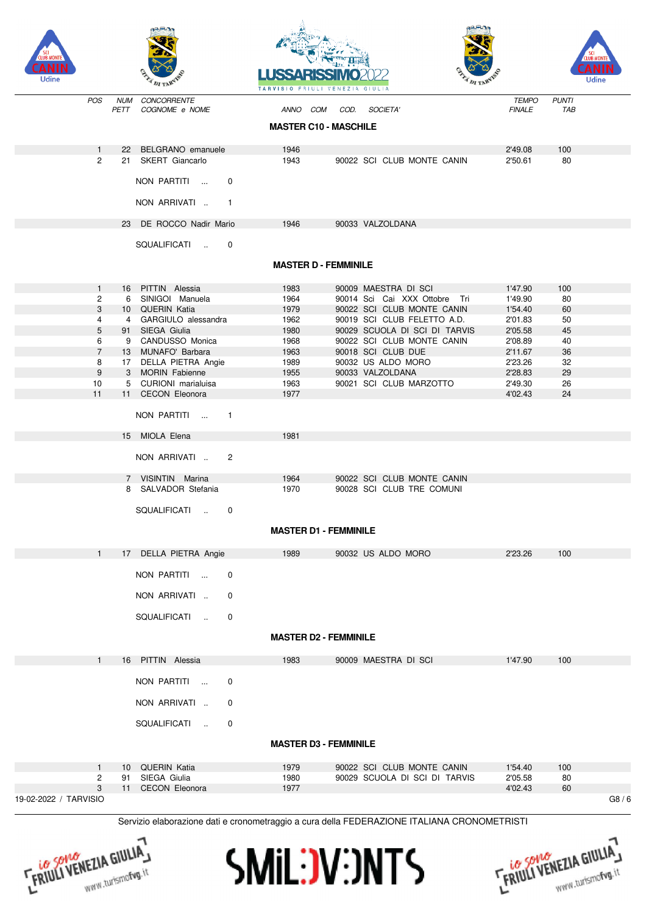









FRIULI VENEZIA GIULIA

| Udine                 |            | A DI TARVIS                  | TARVISIO FRIULI VENEZIA GIULIA | <b>ELITERATURA</b> | A DI TARAN                                                                                  |               |              | Udine |
|-----------------------|------------|------------------------------|--------------------------------|--------------------|---------------------------------------------------------------------------------------------|---------------|--------------|-------|
| <b>POS</b>            | <b>NUM</b> | CONCORRENTE                  |                                |                    |                                                                                             | <b>TEMPO</b>  | <b>PUNTI</b> |       |
|                       | PETT       | COGNOME e NOME               | ANNO COM                       | COD.               | <b>SOCIETA'</b>                                                                             | <b>FINALE</b> | TAB          |       |
|                       |            |                              | <b>MASTER C10 - MASCHILE</b>   |                    |                                                                                             |               |              |       |
| 1                     | 22         | BELGRANO emanuele            | 1946                           |                    |                                                                                             | 2'49.08       | 100          |       |
| $\overline{2}$        |            | 21 SKERT Giancarlo           | 1943                           |                    | 90022 SCI CLUB MONTE CANIN                                                                  | 2'50.61       | 80           |       |
|                       |            | NON PARTITI<br>$\mathbf 0$   |                                |                    |                                                                                             |               |              |       |
|                       |            | NON ARRIVATI<br>$\mathbf{1}$ |                                |                    |                                                                                             |               |              |       |
|                       |            | 23 DE ROCCO Nadir Mario      | 1946                           |                    | 90033 VALZOLDANA                                                                            |               |              |       |
|                       |            | SQUALIFICATI<br>$\mathbf 0$  |                                |                    |                                                                                             |               |              |       |
|                       |            |                              | <b>MASTER D - FEMMINILE</b>    |                    |                                                                                             |               |              |       |
| $\mathbf{1}$          |            | 16 PITTIN Alessia            | 1983                           |                    | 90009 MAESTRA DI SCI                                                                        | 1'47.90       | 100          |       |
| $\overline{c}$        | 6          | SINIGOI Manuela              | 1964                           |                    | 90014 Sci Cai XXX Ottobre Tri                                                               | 1'49.90       | 80           |       |
| 3                     |            | 10 QUERIN Katia              | 1979                           |                    | 90022 SCI CLUB MONTE CANIN                                                                  | 1'54.40       | 60           |       |
| 4                     |            | 4 GARGIULO alessandra        | 1962                           |                    | 90019 SCI CLUB FELETTO A.D.                                                                 | 2'01.83       | 50           |       |
| 5                     |            | 91 SIEGA Giulia              | 1980                           |                    | 90029 SCUOLA DI SCI DI TARVIS                                                               | 2'05.58       | 45           |       |
| 6                     |            | 9 CANDUSSO Monica            | 1968                           |                    | 90022 SCI CLUB MONTE CANIN                                                                  | 2'08.89       | 40           |       |
| $\overline{7}$        | 13         | MUNAFO' Barbara              | 1963                           |                    | 90018 SCI CLUB DUE                                                                          | 2'11.67       | 36           |       |
| 8                     |            | 17 DELLA PIETRA Angie        | 1989                           |                    | 90032 US ALDO MORO                                                                          | 2'23.26       | 32           |       |
| 9                     |            | 3 MORIN Fabienne             | 1955                           |                    | 90033 VALZOLDANA                                                                            | 2'28.83       | 29           |       |
| 10                    | 5          | CURIONI marialuisa           | 1963                           |                    | 90021 SCI CLUB MARZOTTO                                                                     | 2'49.30       | 26           |       |
| 11                    |            | 11 CECON Eleonora            | 1977                           |                    |                                                                                             | 4'02.43       | 24           |       |
|                       |            |                              |                                |                    |                                                                                             |               |              |       |
|                       |            | NON PARTITI<br>$\mathbf{1}$  |                                |                    |                                                                                             |               |              |       |
|                       |            | 15 MIOLA Elena               | 1981                           |                    |                                                                                             |               |              |       |
|                       |            | NON ARRIVATI<br>2            |                                |                    |                                                                                             |               |              |       |
|                       |            | 7 VISINTIN Marina            | 1964                           |                    | 90022 SCI CLUB MONTE CANIN                                                                  |               |              |       |
|                       |            | 8 SALVADOR Stefania          | 1970                           |                    | 90028 SCI CLUB TRE COMUNI                                                                   |               |              |       |
|                       |            | SQUALIFICATI<br>0            |                                |                    |                                                                                             |               |              |       |
|                       |            |                              | <b>MASTER D1 - FEMMINILE</b>   |                    |                                                                                             |               |              |       |
| $\mathbf{1}$          |            | 17 DELLA PIETRA Angie        | 1989                           |                    | 90032 US ALDO MORO                                                                          | 2'23.26       | 100          |       |
|                       |            | NON PARTITI<br>0             |                                |                    |                                                                                             |               |              |       |
|                       |            | NON ARRIVATI<br>0            |                                |                    |                                                                                             |               |              |       |
|                       |            | SQUALIFICATI<br>0            |                                |                    |                                                                                             |               |              |       |
|                       |            |                              | <b>MASTER D2 - FEMMINILE</b>   |                    |                                                                                             |               |              |       |
| $\mathbf{1}$          |            | 16 PITTIN Alessia            | 1983                           |                    | 90009 MAESTRA DI SCI                                                                        | 1'47.90       | 100          |       |
|                       |            | NON PARTITI<br>0             |                                |                    |                                                                                             |               |              |       |
|                       |            | NON ARRIVATI<br>0            |                                |                    |                                                                                             |               |              |       |
|                       |            | SQUALIFICATI<br>$\mathbf 0$  |                                |                    |                                                                                             |               |              |       |
|                       |            |                              | <b>MASTER D3 - FEMMINILE</b>   |                    |                                                                                             |               |              |       |
| 1                     |            | 10 QUERIN Katia              | 1979                           |                    | 90022 SCI CLUB MONTE CANIN                                                                  | 1'54.40       | 100          |       |
| 2                     | 91         | SIEGA Giulia                 | 1980                           |                    | 90029 SCUOLA DI SCI DI TARVIS                                                               | 2'05.58       | 80           |       |
| 3                     |            | 11 CECON Eleonora            | 1977                           |                    |                                                                                             | 4'02.43       | 60           |       |
| 19-02-2022 / TARVISIO |            |                              |                                |                    |                                                                                             |               |              | G8/6  |
|                       |            |                              |                                |                    | Servizio elaborazione dati e cronometraggio a cura della FEDERAZIONE ITALIANA CRONOMETRISTI |               |              |       |



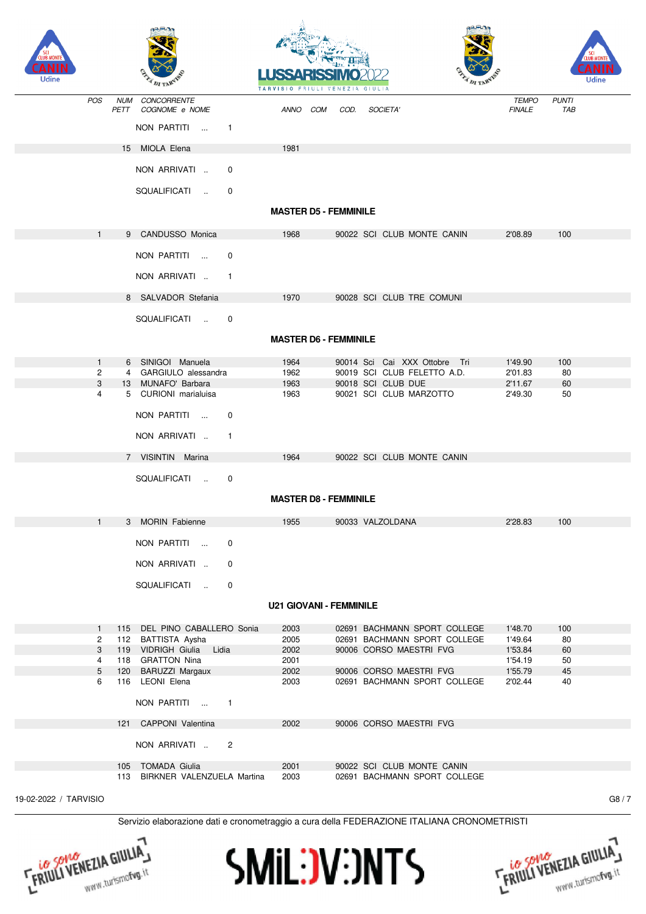| Udine                 |                    |                                                                                             | <b>TARVISIO</b>                |      |                                                              |                               | Udine               |      |
|-----------------------|--------------------|---------------------------------------------------------------------------------------------|--------------------------------|------|--------------------------------------------------------------|-------------------------------|---------------------|------|
| POS                   | <b>NUM</b><br>PETT | CONCORRENTE<br>COGNOME e NOME                                                               | ANNO COM                       | COD. | SOCIETA'                                                     | <b>TEMPO</b><br><b>FINALE</b> | <b>PUNTI</b><br>TAB |      |
|                       |                    | NON PARTITI<br>$\sim$ 100 $\mu$<br>$\mathbf{1}$                                             |                                |      |                                                              |                               |                     |      |
|                       |                    | 15 MIOLA Elena                                                                              | 1981                           |      |                                                              |                               |                     |      |
|                       |                    | NON ARRIVATI<br>0                                                                           |                                |      |                                                              |                               |                     |      |
|                       |                    | SQUALIFICATI<br>0                                                                           |                                |      |                                                              |                               |                     |      |
|                       |                    |                                                                                             | <b>MASTER D5 - FEMMINILE</b>   |      |                                                              |                               |                     |      |
| 1                     |                    | 9 CANDUSSO Monica                                                                           | 1968                           |      | 90022 SCI CLUB MONTE CANIN                                   | 2'08.89                       | 100                 |      |
|                       |                    | NON PARTITI<br>0                                                                            |                                |      |                                                              |                               |                     |      |
|                       |                    | NON ARRIVATI<br>$\mathbf{1}$                                                                |                                |      |                                                              |                               |                     |      |
|                       |                    | 8 SALVADOR Stefania                                                                         | 1970                           |      | 90028 SCI CLUB TRE COMUNI                                    |                               |                     |      |
|                       |                    | SQUALIFICATI<br>$\mathbf 0$                                                                 |                                |      |                                                              |                               |                     |      |
|                       |                    |                                                                                             | <b>MASTER D6 - FEMMINILE</b>   |      |                                                              |                               |                     |      |
|                       |                    |                                                                                             |                                |      |                                                              |                               |                     |      |
| $\mathbf{1}$<br>2     | 6<br>4             | SINIGOI Manuela<br>GARGIULO alessandra                                                      | 1964<br>1962                   |      | 90014 Sci Cai XXX Ottobre Tri<br>90019 SCI CLUB FELETTO A.D. | 1'49.90<br>2'01.83            | 100<br>80           |      |
| 3                     |                    | 13 MUNAFO' Barbara                                                                          | 1963                           |      | 90018 SCI CLUB DUE                                           | 2'11.67                       | 60                  |      |
| 4                     |                    | 5 CURIONI marialuisa                                                                        | 1963                           |      | 90021 SCI CLUB MARZOTTO                                      | 2'49.30                       | 50                  |      |
|                       |                    | NON PARTITI<br>$\mathbf 0$                                                                  |                                |      |                                                              |                               |                     |      |
|                       |                    |                                                                                             |                                |      |                                                              |                               |                     |      |
|                       |                    | NON ARRIVATI<br>$\mathbf{1}$                                                                |                                |      |                                                              |                               |                     |      |
|                       |                    | 7 VISINTIN Marina                                                                           | 1964                           |      | 90022 SCI CLUB MONTE CANIN                                   |                               |                     |      |
|                       |                    | SQUALIFICATI<br>0                                                                           | <b>MASTER D8 - FEMMINILE</b>   |      |                                                              |                               |                     |      |
|                       |                    |                                                                                             |                                |      |                                                              |                               |                     |      |
| $\mathbf{1}$          |                    | 3 MORIN Fabienne                                                                            | 1955                           |      | 90033 VALZOLDANA                                             | 2'28.83                       | 100                 |      |
|                       |                    | NON PARTITI<br>0                                                                            |                                |      |                                                              |                               |                     |      |
|                       |                    | NON ARRIVATI<br>$\mathbf 0$                                                                 |                                |      |                                                              |                               |                     |      |
|                       |                    | SQUALIFICATI<br>$\mathbf 0$                                                                 |                                |      |                                                              |                               |                     |      |
|                       |                    |                                                                                             | <b>U21 GIOVANI - FEMMINILE</b> |      |                                                              |                               |                     |      |
| $\mathbf{1}$          |                    | 115 DEL PINO CABALLERO Sonia                                                                | 2003                           |      | 02691 BACHMANN SPORT COLLEGE                                 | 1'48.70                       | 100                 |      |
| 2                     |                    | 112 BATTISTA Aysha                                                                          | 2005                           |      | 02691 BACHMANN SPORT COLLEGE                                 | 1'49.64                       | 80                  |      |
| 3                     |                    | 119 VIDRIGH Giulia<br>Lidia                                                                 | 2002                           |      | 90006 CORSO MAESTRI FVG                                      | 1'53.84                       | 60                  |      |
| 4                     |                    | 118 GRATTON Nina                                                                            | 2001                           |      |                                                              | 1'54.19                       | 50                  |      |
| $5\phantom{.0}$       |                    | 120 BARUZZI Margaux                                                                         | 2002                           |      | 90006 CORSO MAESTRI FVG                                      | 1'55.79                       | 45                  |      |
| 6                     |                    | 116 LEONI Elena                                                                             | 2003                           |      | 02691 BACHMANN SPORT COLLEGE                                 | 2'02.44                       | 40                  |      |
|                       |                    | NON PARTITI<br>$\overline{1}$                                                               |                                |      |                                                              |                               |                     |      |
|                       |                    | 121 CAPPONI Valentina                                                                       | 2002                           |      | 90006 CORSO MAESTRI FVG                                      |                               |                     |      |
|                       |                    | NON ARRIVATI<br>2                                                                           |                                |      |                                                              |                               |                     |      |
|                       |                    | 105 TOMADA Giulia<br>113 BIRKNER VALENZUELA Martina                                         | 2001<br>2003                   |      | 90022 SCI CLUB MONTE CANIN<br>02691 BACHMANN SPORT COLLEGE   |                               |                     |      |
|                       |                    |                                                                                             |                                |      |                                                              |                               |                     |      |
| 19-02-2022 / TARVISIO |                    |                                                                                             |                                |      |                                                              |                               |                     | G8/7 |
|                       |                    | Servizio elaborazione dati e cronometraggio a cura della FEDERAZIONE ITALIANA CRONOMETRISTI |                                |      |                                                              |                               |                     |      |

**SMIL:JV:JNTS** 



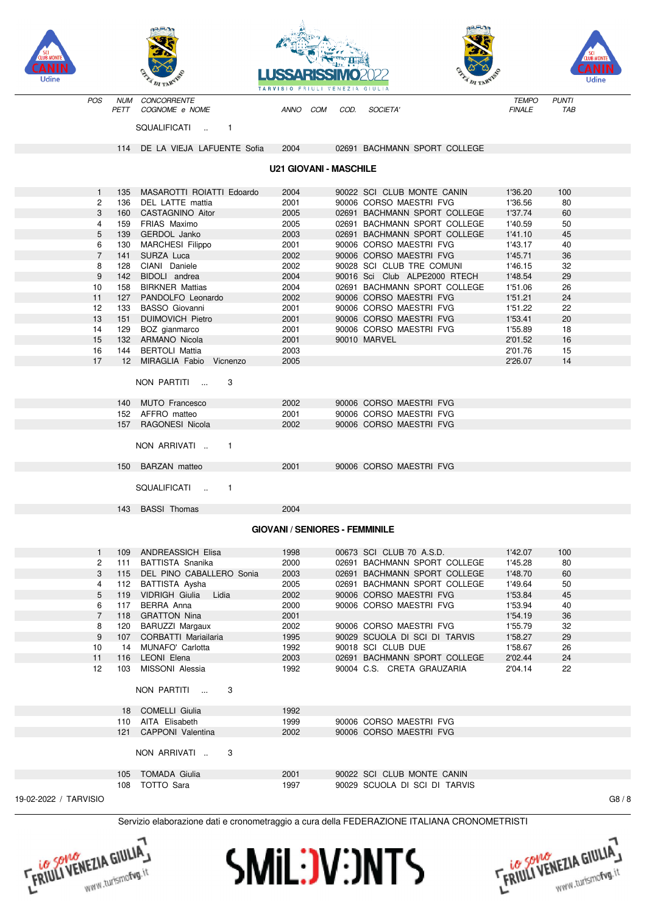







Udine

CONCORRENTE POS **NUM TEMPO PUNTI** PETT COGNOME e NOME **ANNO** COM COD. **SOCIETA FINALE TAB** SOUAL IFICATI  $\mathbb{R}^2$  $\mathbf{1}$ 114 DE LA VIEJA LAFUENTE Sofia 2004 02691 BACHMANN SPORT COLLEGE **U21 GIOVANI - MASCHILE** MASAROTTI ROIATTI Edoardo 2004 90022 SCI CLUB MONTE CANIN 1'36.20  $100$ 135  $\mathbf{1}$  $\mathcal{P}$ 136 DEL LATTE mattia 2001 90006 CORSO MAESTRI EVG 1'36.56  $80$  $\sqrt{3}$ 160 CASTAGNINO Aitor 2005 02691 BACHMANN SPORT COLLEGE 1'37.74 60 FRIAS Maximo 02691 BACHMANN SPORT COLLEGE  $\overline{4}$ 159 2005 1'40.59  $50$ 02691 BACHMANN SPORT COLLEGE  $5\overline{5}$ 139 GERDOL Janko 2003 1'41.10 45 MARCHESI Filippo 2001 90006 CORSO MAESTRI FVG 1'43.17  $40$ 6 130  $\overline{7}$ 141 SURZA Luca 2002 90006 CORSO MAESTRI FVG 1'45.71 36 CIANI Daniele 90028 SCI CLUB TRE COMUNI  $32$  $\overline{8}$ 2002 1'46.15 128  $\mathbf{q}$ 142 BIDOLI andrea 2004 90016 Sci Club ALPE2000 RTECH 1'48.54 29  $10$ 158 **BIRKNER Mattias** 2004 02691 BACHMANN SPORT COLLEGE 1'51.06 26  $11$ 127 PANDOLFO Leonardo 2002 90006 CORSO MAESTRI FVG 1'51.21  $24$  $12$  $133$ **BASSO** Giovanni 2001 90006 CORSO MAESTRI FVG 1'51.22  $22$ **DUIMOVICH Pietro** 2001 90006 CORSO MAESTRI FVG  $\Omega$  $13$ 151 1'53 41  $14$ 129 BOZ gianmarco 2001 90006 CORSO MAESTRI FVG 1'55.89  $18$ 15 **ARMANO Nicola** 2001 90010 MARVEL 132 2'01.52 16  $16$ 144 **BERTOLL Mattia** 2003 2'01.76  $15$  $12$ MIRAGLIA Fabio Vicnenzo 2005  $17$ 2'26.07  $14$ NON PARTITI З 90006 CORSO MAESTRI EVG  $140$ MUTO Francesco 2002 152 AFFRO matteo 2001 90006 CORSO MAESTRI FVG **RAGONESL Nicola** 2002 90006 CORSO MAESTRI EVG 157 NON ARRIVATI ..  $\overline{1}$ 150 BARZAN matteo 2001 90006 CORSO MAESTRI FVG **SQUALIFICATI**  $\overline{1}$ 143 BASSI Thomas 2004 **GIOVANI / SENIORES - FEMMINILE ANDREASSICH Elisa** 1998 00673 SCI CLUB 70 A.S.D. 1'42.07 100  $109$  $\overline{1}$  $\overline{2}$ BATTISTA Snanika 2000 02691 BACHMANN SPORT COLLEGE 1'45.28  $80$ 111  $\mathbf{3}$ DEL PINO CABALLERO Sonia 2003 02691 BACHMANN SPORT COLLEGE 1'48.70 60 115  $\Delta$ 112 BATTISTA Aysha 2005 02691 BACHMANN SPORT COLLEGE 1'49.64  $50$ **VIDRIGH Giulia** 2002 90006 CORSO MAESTRI FVG 1'53.84  $45$  $\sqrt{2}$ 119 Lidia  $\mathsf{G}$ 117 BERRA Anna 2000 90006 CORSO MAESTRI FVG 1'53.94  $\Delta$ 0  $\overline{7}$ 118 **GRATTON Nina** 2001 1'54.19  $36$ **BARUZZI Margaux** 90006 CORSO MAESTRL EVG  $\mathsf{R}$  $120$ 2002 1'55 79 32 90029 SCUOLA DI SCI DI TARVIS 9 107 CORBATTI Mariailaria 1995 1'58.27 29 90018 SCL CLUB DUE MUNAFO' Carlotta 1992 1'58.67 26  $10$  $14$ LEONI Elena 2003 02691 BACHMANN SPORT COLLEGE 2'02.44 24  $11$ 116 MISSONI Alessia 1992 90004 C.S. CRETA GRAUZARIA  $2'0414$  $12$  $103$ 22 NON PARTITI 3 18 COMELLI Giulia 1992 110 AITA Elisabeth 1999 90006 CORSO MAESTRI FVG 121 CAPPONI Valentina 2002 90006 CORSO MAESTRI FVG NON ARRIVATI .. 3 90022 SCI CLUB MONTE CANIN  $10<sub>5</sub>$ **TOMADA Giulia** 2001 108 TOTTO Sara 1997 90029 SCUOLA DI SCI DI TARVIS 19-02-2022 / TARVISIO Servizio elaborazione dati e cronometraggio a cura della FEDERAZIONE ITALIANA CRONOMETRISTI

**FRIULI VENEZIA GIULIA** 





 $G8/8$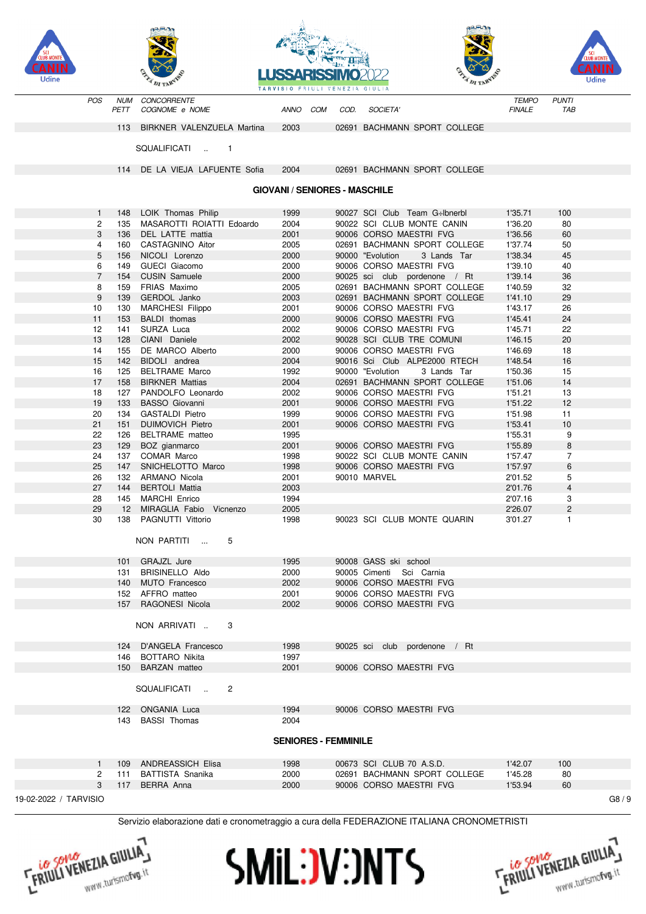





| 14                    | 155 | DE MARCO Alberto            | 2000                        | 90006 CORSO MAESTRI FVG                                                                      | 1'46.69 | 18             |      |
|-----------------------|-----|-----------------------------|-----------------------------|----------------------------------------------------------------------------------------------|---------|----------------|------|
| 15                    | 142 | BIDOLI andrea               | 2004                        | 90016 Sci Club ALPE2000 RTECH                                                                | 1'48.54 | 16             |      |
| 16                    | 125 | <b>BELTRAME Marco</b>       | 1992                        | 90000 "Evolution<br>3 Lands Tar                                                              | 1'50.36 | 15             |      |
| 17                    | 158 | <b>BIRKNER Mattias</b>      | 2004                        | 02691 BACHMANN SPORT COLLEGE                                                                 | 1'51.06 | 14             |      |
| 18                    | 127 | PANDOLFO Leonardo           | 2002                        | 90006 CORSO MAESTRI FVG                                                                      | 1'51.21 | 13             |      |
| 19                    | 133 | <b>BASSO Giovanni</b>       | 2001                        | 90006 CORSO MAESTRI FVG                                                                      | 1'51.22 | 12             |      |
| 20                    | 134 | <b>GASTALDI Pietro</b>      | 1999                        | 90006 CORSO MAESTRI FVG                                                                      | 1'51.98 | 11             |      |
| 21                    | 151 | <b>DUIMOVICH Pietro</b>     | 2001                        | 90006 CORSO MAESTRI FVG                                                                      | 1'53.41 | 10             |      |
| 22                    | 126 | <b>BELTRAME</b> matteo      | 1995                        |                                                                                              | 1'55.31 | 9              |      |
| 23                    | 129 | BOZ gianmarco               | 2001                        | 90006 CORSO MAESTRI FVG                                                                      | 1'55.89 | 8              |      |
| 24                    | 137 | COMAR Marco                 | 1998                        | 90022 SCI CLUB MONTE CANIN                                                                   | 1'57.47 | $\overline{7}$ |      |
| 25                    | 147 | SNICHELOTTO Marco           | 1998                        | 90006 CORSO MAESTRI FVG                                                                      | 1'57.97 | 6              |      |
| 26                    | 132 | ARMANO Nicola               | 2001                        | 90010 MARVEL                                                                                 | 2'01.52 | 5              |      |
| 27                    | 144 | <b>BERTOLI Mattia</b>       | 2003                        |                                                                                              | 2'01.76 | $\overline{4}$ |      |
| 28                    | 145 | <b>MARCHI Enrico</b>        | 1994                        |                                                                                              | 2'07.16 | 3              |      |
| 29                    | 12  | MIRAGLIA Fabio Vicnenzo     | 2005                        |                                                                                              | 2'26.07 | 2              |      |
| 30                    | 138 | PAGNUTTI Vittorio           | 1998                        | 90023 SCI CLUB MONTE QUARIN                                                                  | 3'01.27 | $\mathbf{1}$   |      |
|                       |     | NON PARTITI<br>5            |                             |                                                                                              |         |                |      |
|                       |     |                             |                             |                                                                                              |         |                |      |
|                       |     | 101 GRAJZL Jure             | 1995                        | 90008 GASS ski school                                                                        |         |                |      |
|                       | 131 | <b>BRISINELLO Aldo</b>      | 2000                        | 90005 Cimenti Sci Carnia                                                                     |         |                |      |
|                       | 140 | MUTO Francesco              | 2002                        | 90006 CORSO MAESTRI FVG                                                                      |         |                |      |
|                       | 152 | AFFRO matteo                | 2001                        | 90006 CORSO MAESTRI FVG                                                                      |         |                |      |
|                       | 157 | RAGONESI Nicola             | 2002                        | 90006 CORSO MAESTRI FVG                                                                      |         |                |      |
|                       |     | NON ARRIVATI<br>3           |                             |                                                                                              |         |                |      |
|                       |     |                             |                             |                                                                                              |         |                |      |
|                       |     | 124 D'ANGELA Francesco      | 1998                        | 90025 sci club pordenone / Rt                                                                |         |                |      |
|                       | 146 | <b>BOTTARO Nikita</b>       | 1997                        |                                                                                              |         |                |      |
|                       |     | 150 BARZAN matteo           | 2001                        | 90006 CORSO MAESTRI FVG                                                                      |         |                |      |
|                       |     | SQUALIFICATI<br>2<br>$\sim$ |                             |                                                                                              |         |                |      |
|                       |     |                             |                             |                                                                                              |         |                |      |
|                       |     | 122 ONGANIA Luca            | 1994                        | 90006 CORSO MAESTRI FVG                                                                      |         |                |      |
|                       | 143 | <b>BASSI Thomas</b>         | 2004                        |                                                                                              |         |                |      |
|                       |     |                             | <b>SENIORES - FEMMINILE</b> |                                                                                              |         |                |      |
|                       |     |                             |                             |                                                                                              |         |                |      |
| $\mathbf{1}$          | 109 | <b>ANDREASSICH Elisa</b>    | 1998                        | 00673 SCI CLUB 70 A.S.D.                                                                     | 1'42.07 | 100            |      |
| 2                     | 111 | <b>BATTISTA Snanika</b>     | 2000                        | 02691 BACHMANN SPORT COLLEGE                                                                 | 1'45.28 | 80             |      |
| 3                     |     | 117 BERRA Anna              | 2000                        | 90006 CORSO MAESTRI FVG                                                                      | 1'53.94 | 60             |      |
| 19-02-2022 / TARVISIO |     |                             |                             |                                                                                              |         |                | G8/9 |
|                       |     |                             |                             | Servizio elaborazione dati e cronometraggio a cura della FEDERAZIONE ITALIANA CRONOMETRISTI. |         |                |      |
|                       |     |                             |                             |                                                                                              |         |                |      |

## **GIOVANI / SENIORES - MASCHILE**



POS

**NUM** 

PETT

148

135

136

160

156

149

154

159

139

130

153

 $141$ 

128

-1  $\mathcal{P}$ 

 $\mathbf{3}$ 

 $\overline{4}$  $\sqrt{5}$ 

 $\overline{6}$ 

 $\overline{7}$ 

8

9

 $10$ 

 $11$ 

 $12$ 

 $13$ 



CONCORRENTE

SQUALIFICATI

COGNOME e NOME

113 BIRKNER VALENZUELA Martina

114 DE LA VIEJA LAFUENTE Sofia

MASAROTTI ROIATTI Edoardo

LOIK Thomas Philip

DEL LATTE mattia

CASTAGNINO Aitor

NICOLI Lorenzo

**GUECI Giacomo** 

**CUSIN Samuele** 

FRIAS Maximo

GERDOL Janko

BALDI thomas

CIANI Daniele

SURZA Luca

MARCHESI Filippo

 $\overline{1}$ 



COM

COD.

SOCIETA'

02691 BACHMANN SPORT COLLEGE

02691 BACHMANN SPORT COLLEGE

90027 SCI Club Team G÷lbnerbl

90022 SCI CLUB MONTE CANIN

02691 BACHMANN SPORT COLLEGE

90000 "Evolution 3 Lands Tar

90025 sci club pordenone / Rt

02691 BACHMANN SPORT COLLEGE

02691 BACHMANN SPORT COLLEGE

90006 CORSO MAESTRI FVG

90006 CORSO MAESTRI FVG

90006 CORSO MAESTRI FVG

90006 CORSO MAESTRI FVG

90006 CORSO MAESTRI FVG

90028 SCI CLUB TRE COMUNI

**ANNO** 

2003

2004

1999

2004

2001 2005

2000

2000 2000

2005

2003

2001

2000

2002

2002



**TEMPO** 

**FINALE** 

1'35.71

1'36.20

1'36.56

1'37.74

1'38.34

1'39.10

1'39.14

1'40.59

1'41.10

1'43.17

1'45.41

1'45.71

1'46.15

**PUNTI** 

TAB

100

80

60

50

45

40

36

 $32$ 

29

26

24

 $22$ 

20

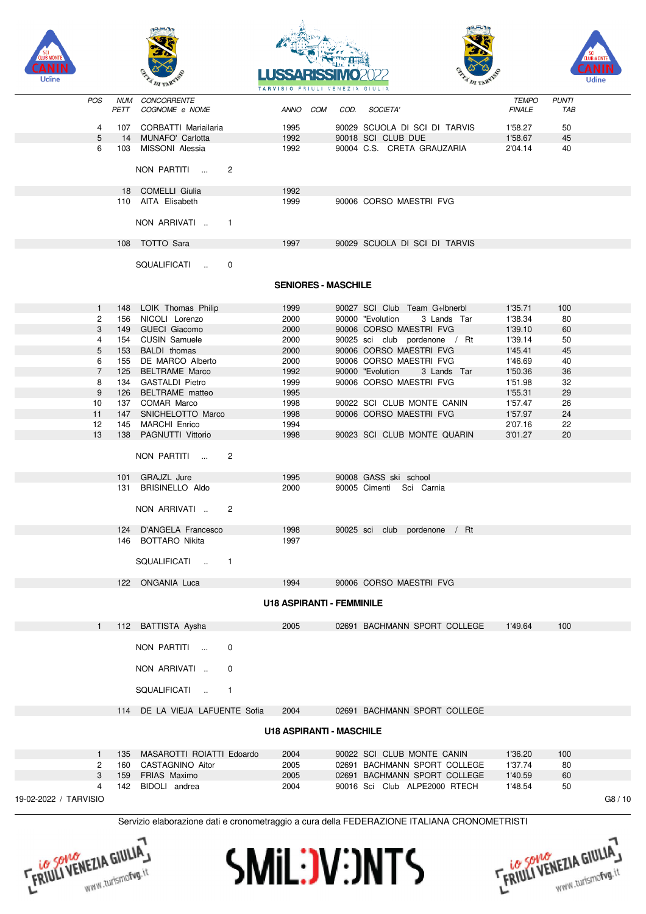









|                       |                |     |                                        | TARVISTO PRIOLI VENEZIA GIULIA   |  |                                 |                        |                     |       |
|-----------------------|----------------|-----|----------------------------------------|----------------------------------|--|---------------------------------|------------------------|---------------------|-------|
|                       | POS            |     | NUM CONCORRENTE<br>PETT COGNOME e NOME |                                  |  | ANNO COM COD. SOCIETA'          | TEMPO<br><b>FINALE</b> | <b>PUNTI</b><br>TAB |       |
|                       | 4              |     | 107 CORBATTI Mariailaria               | 1995                             |  | 90029 SCUOLA DI SCI DI TARVIS   | 1'58.27                | 50                  |       |
|                       | 5              |     | 14 MUNAFO' Carlotta                    | 1992                             |  | 90018 SCI CLUB DUE              | 1'58.67                | 45                  |       |
|                       | 6              |     | 103 MISSONI Alessia                    | 1992                             |  | 90004 C.S. CRETA GRAUZARIA      | 2'04.14                | 40                  |       |
|                       |                |     | NON PARTITI<br>$\overline{2}$          |                                  |  |                                 |                        |                     |       |
|                       |                |     |                                        |                                  |  |                                 |                        |                     |       |
|                       |                |     | 18 COMELLI Giulia                      | 1992                             |  |                                 |                        |                     |       |
|                       |                |     | 110 AITA Elisabeth                     | 1999                             |  | 90006 CORSO MAESTRI FVG         |                        |                     |       |
|                       |                |     | NON ARRIVATI  1                        |                                  |  |                                 |                        |                     |       |
|                       |                |     | 108 TOTTO Sara                         | 1997                             |  | 90029 SCUOLA DI SCI DI TARVIS   |                        |                     |       |
|                       |                |     | SQUALIFICATI<br>0                      |                                  |  |                                 |                        |                     |       |
|                       |                |     |                                        |                                  |  |                                 |                        |                     |       |
|                       |                |     |                                        | <b>SENIORES - MASCHILE</b>       |  |                                 |                        |                     |       |
|                       | $\mathbf{1}$   |     | 148 LOIK Thomas Philip                 | 1999                             |  | 90027 SCI Club Team G÷lbnerbl   | 1'35.71                | 100                 |       |
|                       | $\overline{c}$ |     | 156 NICOLI Lorenzo                     | 2000                             |  | 90000 "Evolution<br>3 Lands Tar | 1'38.34                | 80                  |       |
|                       | 3              |     | 149 GUECI Giacomo                      | 2000                             |  | 90006 CORSO MAESTRI FVG         | 1'39.10                | 60                  |       |
|                       | 4              |     | 154 CUSIN Samuele                      | 2000                             |  | 90025 sci club pordenone / Rt   | 1'39.14                | 50                  |       |
|                       | 5              |     | 153 BALDI thomas                       | 2000                             |  | 90006 CORSO MAESTRI FVG         | 1'45.41                | 45                  |       |
|                       | 6              |     | 155 DE MARCO Alberto                   | 2000                             |  | 90006 CORSO MAESTRI FVG         | 1'46.69                | 40                  |       |
|                       | $\overline{7}$ |     | 125 BELTRAME Marco                     | 1992                             |  | 90000 "Evolution<br>3 Lands Tar | 1'50.36                | 36                  |       |
|                       | 8              |     | 134 GASTALDI Pietro                    | 1999                             |  | 90006 CORSO MAESTRI FVG         | 1'51.98                | 32                  |       |
|                       | 9              |     | 126 BELTRAME matteo                    | 1995                             |  |                                 | 1'55.31                | 29                  |       |
|                       | 10             |     | 137 COMAR Marco                        | 1998                             |  | 90022 SCI CLUB MONTE CANIN      | 1'57.47                | 26                  |       |
|                       | 11             |     | 147 SNICHELOTTO Marco                  | 1998                             |  | 90006 CORSO MAESTRI FVG         | 1'57.97                | 24                  |       |
|                       | 12             |     | 145 MARCHI Enrico                      | 1994                             |  |                                 | 2'07.16                | 22                  |       |
|                       | 13             |     | 138 PAGNUTTI Vittorio                  | 1998                             |  | 90023 SCI CLUB MONTE QUARIN     | 3'01.27                | 20                  |       |
|                       |                |     | NON PARTITI<br>$\overline{2}$          |                                  |  |                                 |                        |                     |       |
|                       |                |     | 101 GRAJZL Jure                        | 1995                             |  | 90008 GASS ski school           |                        |                     |       |
|                       |                |     | 131 BRISINELLO Aldo                    | 2000                             |  | 90005 Cimenti Sci Carnia        |                        |                     |       |
|                       |                |     | NON ARRIVATI<br>-2                     |                                  |  |                                 |                        |                     |       |
|                       |                |     | 124 D'ANGELA Francesco                 | 1998                             |  | 90025 sci club pordenone / Rt   |                        |                     |       |
|                       |                |     | 146 BOTTARO Nikita                     | 1997                             |  |                                 |                        |                     |       |
|                       |                |     | SQUALIFICATI  1                        |                                  |  |                                 |                        |                     |       |
|                       |                |     | 122 ONGANIA Luca                       | 1994                             |  | 90006 CORSO MAESTRI FVG         |                        |                     |       |
|                       |                |     |                                        | <b>U18 ASPIRANTI - FEMMINILE</b> |  |                                 |                        |                     |       |
|                       | 1              |     | 112 BATTISTA Aysha                     | 2005                             |  | 02691 BACHMANN SPORT COLLEGE    | 1'49.64                | 100                 |       |
|                       |                |     | NON PARTITI<br>0                       |                                  |  |                                 |                        |                     |       |
|                       |                |     | NON ARRIVATI<br>0                      |                                  |  |                                 |                        |                     |       |
|                       |                |     | SQUALIFICATI<br>$\overline{1}$         |                                  |  |                                 |                        |                     |       |
|                       |                |     | 114 DE LA VIEJA LAFUENTE Sofia         | 2004                             |  | 02691 BACHMANN SPORT COLLEGE    |                        |                     |       |
|                       |                |     |                                        | <b>U18 ASPIRANTI - MASCHILE</b>  |  |                                 |                        |                     |       |
|                       | 1              | 135 | MASAROTTI ROIATTI Edoardo              | 2004                             |  | 90022 SCI CLUB MONTE CANIN      | 1'36.20                | 100                 |       |
|                       | 2              |     | 160 CASTAGNINO Aitor                   | 2005                             |  | 02691 BACHMANN SPORT COLLEGE    | 1'37.74                | 80                  |       |
|                       | 3              |     | 159 FRIAS Maximo                       | 2005                             |  | 02691 BACHMANN SPORT COLLEGE    | 1'40.59                | 60                  |       |
|                       | 4              | 142 | BIDOLI andrea                          | 2004                             |  | 90016 Sci Club ALPE2000 RTECH   | 1'48.54                | 50                  |       |
| 19-02-2022 / TARVISIO |                |     |                                        |                                  |  |                                 |                        |                     | G8/10 |